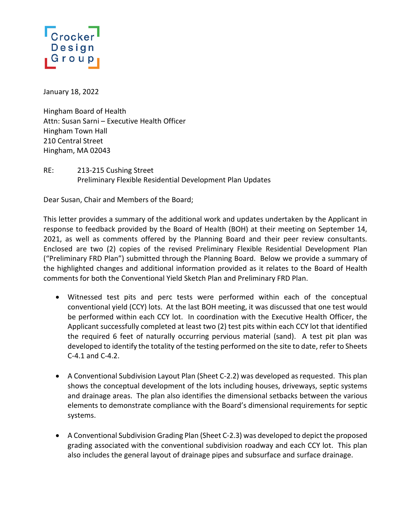## Design Group

January 18, 2022

Hingham Board of Health Attn: Susan Sarni – Executive Health Officer Hingham Town Hall 210 Central Street Hingham, MA 02043

RE: 213-215 Cushing Street Preliminary Flexible Residential Development Plan Updates

Dear Susan, Chair and Members of the Board;

This letter provides a summary of the additional work and updates undertaken by the Applicant in response to feedback provided by the Board of Health (BOH) at their meeting on September 14, 2021, as well as comments offered by the Planning Board and their peer review consultants. Enclosed are two (2) copies of the revised Preliminary Flexible Residential Development Plan ("Preliminary FRD Plan") submitted through the Planning Board. Below we provide a summary of the highlighted changes and additional information provided as it relates to the Board of Health comments for both the Conventional Yield Sketch Plan and Preliminary FRD Plan.

- Witnessed test pits and perc tests were performed within each of the conceptual conventional yield (CCY) lots. At the last BOH meeting, it was discussed that one test would be performed within each CCY lot. In coordination with the Executive Health Officer, the Applicant successfully completed at least two (2) test pits within each CCY lot that identified the required 6 feet of naturally occurring pervious material (sand). A test pit plan was developed to identify the totality of the testing performed on the site to date, refer to Sheets C-4.1 and C-4.2.
- A Conventional Subdivision Layout Plan (Sheet C-2.2) was developed as requested. This plan shows the conceptual development of the lots including houses, driveways, septic systems and drainage areas. The plan also identifies the dimensional setbacks between the various elements to demonstrate compliance with the Board's dimensional requirements for septic systems.
- A Conventional Subdivision Grading Plan (Sheet C-2.3) was developed to depict the proposed grading associated with the conventional subdivision roadway and each CCY lot. This plan also includes the general layout of drainage pipes and subsurface and surface drainage.